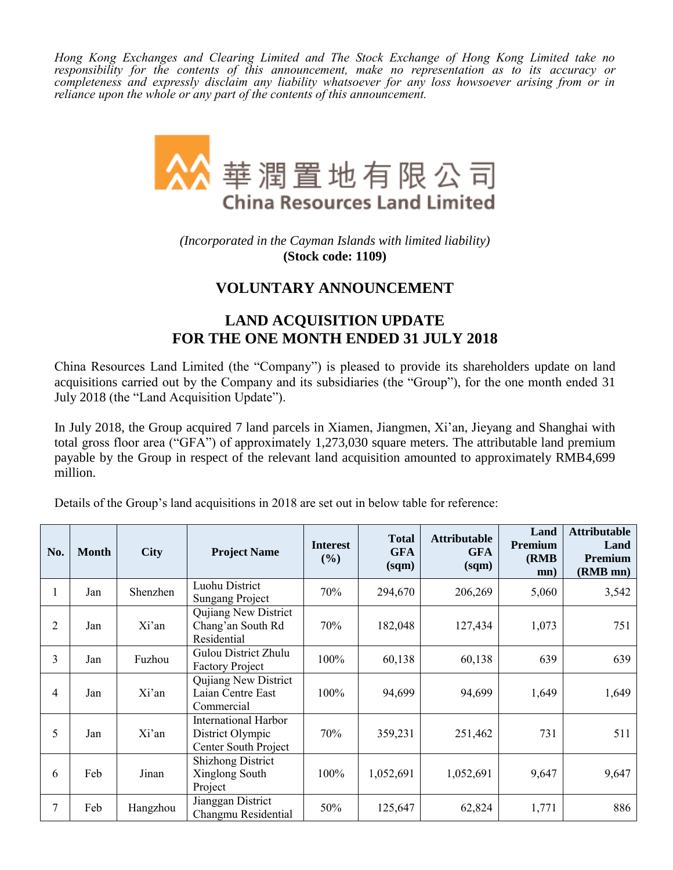*Hong Kong Exchanges and Clearing Limited and The Stock Exchange of Hong Kong Limited take no responsibility for the contents of this announcement, make no representation as to its accuracy or completeness and expressly disclaim any liability whatsoever for any loss howsoever arising from or in reliance upon the whole or any part of the contents of this announcement.*



*(Incorporated in the Cayman Islands with limited liability)* **(Stock code: 1109)**

## **VOLUNTARY ANNOUNCEMENT**

## **LAND ACQUISITION UPDATE FOR THE ONE MONTH ENDED 31 JULY 2018**

China Resources Land Limited (the "Company") is pleased to provide its shareholders update on land acquisitions carried out by the Company and its subsidiaries (the "Group"), for the one month ended 31 July 2018 (the "Land Acquisition Update").

In July 2018, the Group acquired 7 land parcels in Xiamen, Jiangmen, Xi'an, Jieyang and Shanghai with total gross floor area ("GFA") of approximately 1,273,030 square meters. The attributable land premium payable by the Group in respect of the relevant land acquisition amounted to approximately RMB4,699 million.

Details of the Group's land acquisitions in 2018 are set out in below table for reference:

| No. | <b>Month</b> | <b>City</b> | <b>Project Name</b>                                                     | <b>Interest</b><br>$($ %) | <b>Total</b><br><b>GFA</b><br>$\gamma$ | <b>Attributable</b><br><b>GFA</b><br>(sqm) | Land<br>Premium<br>(RMB)<br>mn) | <b>Attributable</b><br>Land<br>Premium<br>(RMB mn) |
|-----|--------------|-------------|-------------------------------------------------------------------------|---------------------------|----------------------------------------|--------------------------------------------|---------------------------------|----------------------------------------------------|
| л.  | Jan          | Shenzhen    | Luohu District<br><b>Sungang Project</b>                                | 70%                       | 294,670                                | 206,269                                    | 5,060                           | 3,542                                              |
| 2   | Jan          | Xi'an       | Qujiang New District<br>Chang'an South Rd<br>Residential                | 70%                       | 182,048                                | 127,434                                    | 1,073                           | 751                                                |
| 3   | Jan          | Fuzhou      | Gulou District Zhulu<br><b>Factory Project</b>                          | 100%                      | 60,138                                 | 60,138                                     | 639                             | 639                                                |
| 4   | Jan          | Xi'an       | Quijang New District<br>Laian Centre East<br>Commercial                 | 100%                      | 94,699                                 | 94,699                                     | 1,649                           | 1,649                                              |
| 5   | Jan          | Xi'an       | <b>International Harbor</b><br>District Olympic<br>Center South Project | 70%                       | 359,231                                | 251,462                                    | 731                             | 511                                                |
| 6   | Feb          | Jinan       | <b>Shizhong District</b><br>Xinglong South<br>Project                   | 100%                      | 1,052,691                              | 1,052,691                                  | 9,647                           | 9,647                                              |
| 7   | Feb          | Hangzhou    | Jianggan District<br>Changmu Residential                                | 50%                       | 125,647                                | 62,824                                     | 1,771                           | 886                                                |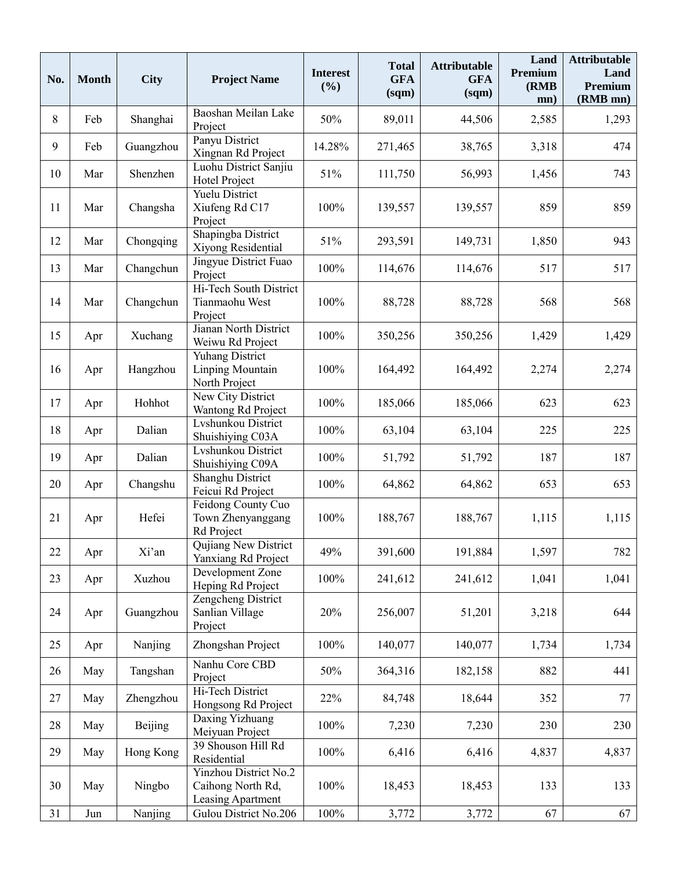| No. | <b>Month</b> | <b>City</b> | <b>Project Name</b>                                             | <b>Interest</b><br>(%) | <b>Total</b><br><b>GFA</b><br>(sqm) | <b>Attributable</b><br><b>GFA</b><br>(sqm) | Land<br>Premium<br>(RMB)<br>mn) | <b>Attributable</b><br>Land<br>Premium<br>(RMB mn) |
|-----|--------------|-------------|-----------------------------------------------------------------|------------------------|-------------------------------------|--------------------------------------------|---------------------------------|----------------------------------------------------|
| 8   | Feb          | Shanghai    | Baoshan Meilan Lake<br>Project                                  | 50%                    | 89,011                              | 44,506                                     | 2,585                           | 1,293                                              |
| 9   | Feb          | Guangzhou   | Panyu District<br>Xingnan Rd Project                            | 14.28%                 | 271,465                             | 38,765                                     | 3,318                           | 474                                                |
| 10  | Mar          | Shenzhen    | Luohu District Sanjiu<br>Hotel Project                          | 51%                    | 111,750                             | 56,993                                     | 1,456                           | 743                                                |
| 11  | Mar          | Changsha    | Yuelu District<br>Xiufeng Rd C17<br>Project                     | 100%                   | 139,557                             | 139,557                                    | 859                             | 859                                                |
| 12  | Mar          | Chongqing   | Shapingba District<br>Xiyong Residential                        | 51%                    | 293,591                             | 149,731                                    | 1,850                           | 943                                                |
| 13  | Mar          | Changchun   | Jingyue District Fuao<br>Project                                | 100%                   | 114,676                             | 114,676                                    | 517                             | 517                                                |
| 14  | Mar          | Changchun   | Hi-Tech South District<br>Tianmaohu West<br>Project             | 100%                   | 88,728                              | 88,728                                     | 568                             | 568                                                |
| 15  | Apr          | Xuchang     | Jianan North District<br>Weiwu Rd Project                       | 100%                   | 350,256                             | 350,256                                    | 1,429                           | 1,429                                              |
| 16  | Apr          | Hangzhou    | <b>Yuhang District</b><br>Linping Mountain<br>North Project     | 100%                   | 164,492                             | 164,492                                    | 2,274                           | 2,274                                              |
| 17  | Apr          | Hohhot      | New City District<br>Wantong Rd Project                         | 100%                   | 185,066                             | 185,066                                    | 623                             | 623                                                |
| 18  | Apr          | Dalian      | Lvshunkou District<br>Shuishiying C03A                          | 100%                   | 63,104                              | 63,104                                     | 225                             | 225                                                |
| 19  | Apr          | Dalian      | Lyshunkou District<br>Shuishiying C09A                          | 100%                   | 51,792                              | 51,792                                     | 187                             | 187                                                |
| 20  | Apr          | Changshu    | Shanghu District<br>Feicui Rd Project                           | 100%                   | 64,862                              | 64,862                                     | 653                             | 653                                                |
| 21  | Apr          | Hefei       | Feidong County Cuo<br>Town Zhenyanggang<br>Rd Project           | 100%                   | 188,767                             | 188,767                                    | 1,115                           | 1,115                                              |
| 22  | Apr          | Xi'an       | Qujiang New District<br>Yanxiang Rd Project                     | 49%                    | 391,600                             | 191,884                                    | 1,597                           | 782                                                |
| 23  | Apr          | Xuzhou      | Development Zone<br>Heping Rd Project                           | 100%                   | 241,612                             | 241,612                                    | 1,041                           | 1,041                                              |
| 24  | Apr          | Guangzhou   | Zengcheng District<br>Sanlian Village<br>Project                | 20%                    | 256,007                             | 51,201                                     | 3,218                           | 644                                                |
| 25  | Apr          | Nanjing     | Zhongshan Project                                               | 100%                   | 140,077                             | 140,077                                    | 1,734                           | 1,734                                              |
| 26  | May          | Tangshan    | Nanhu Core CBD<br>Project                                       | 50%                    | 364,316                             | 182,158                                    | 882                             | 441                                                |
| 27  | May          | Zhengzhou   | Hi-Tech District<br>Hongsong Rd Project                         | 22%                    | 84,748                              | 18,644                                     | 352                             | 77                                                 |
| 28  | May          | Beijing     | Daxing Yizhuang<br>Meiyuan Project                              | 100%                   | 7,230                               | 7,230                                      | 230                             | 230                                                |
| 29  | May          | Hong Kong   | 39 Shouson Hill Rd<br>Residential                               | 100%                   | 6,416                               | 6,416                                      | 4,837                           | 4,837                                              |
| 30  | May          | Ningbo      | Yinzhou District No.2<br>Caihong North Rd,<br>Leasing Apartment | 100%                   | 18,453                              | 18,453                                     | 133                             | 133                                                |
| 31  | Jun          | Nanjing     | Gulou District No.206                                           | 100%                   | 3,772                               | 3,772                                      | 67                              | 67                                                 |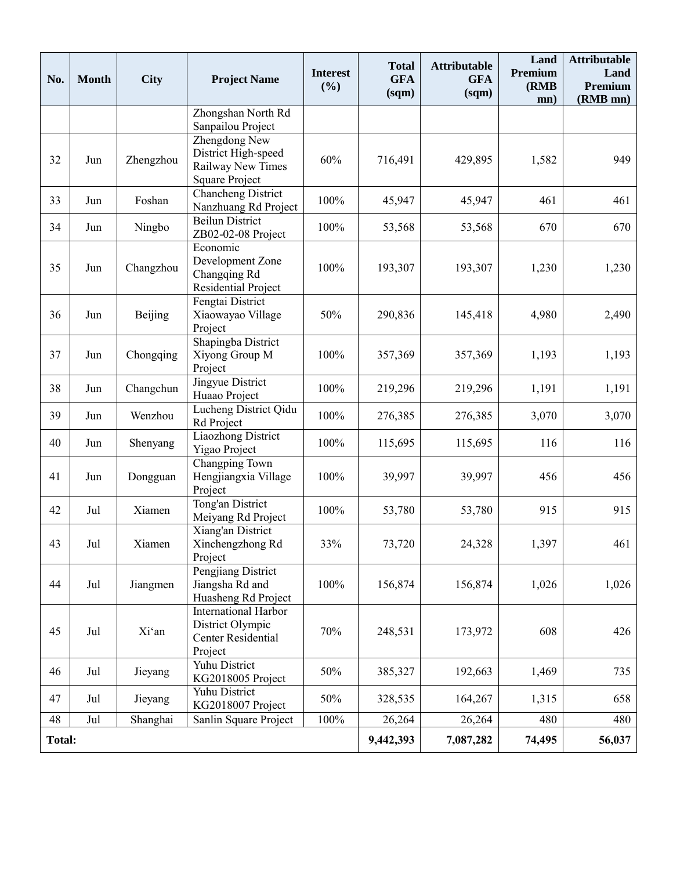| No.           | <b>Month</b> | <b>City</b> | <b>Project Name</b>                                                                | <b>Interest</b><br>(%) | <b>Total</b><br><b>GFA</b><br>$\gamma$ | <b>Attributable</b><br><b>GFA</b><br>$\gamma$ | Land<br>Premium<br>(RMB)<br>mn) | <b>Attributable</b><br>Land<br>Premium<br>(RMB mn) |
|---------------|--------------|-------------|------------------------------------------------------------------------------------|------------------------|----------------------------------------|-----------------------------------------------|---------------------------------|----------------------------------------------------|
|               |              |             | Zhongshan North Rd<br>Sanpailou Project                                            |                        |                                        |                                               |                                 |                                                    |
| 32            | Jun          | Zhengzhou   | Zhengdong New<br>District High-speed<br>Railway New Times<br><b>Square Project</b> | 60%                    | 716,491                                | 429,895                                       | 1,582                           | 949                                                |
| 33            | Jun          | Foshan      | Chancheng District<br>Nanzhuang Rd Project                                         | 100%                   | 45,947                                 | 45,947                                        | 461                             | 461                                                |
| 34            | Jun          | Ningbo      | <b>Beilun District</b><br>ZB02-02-08 Project                                       | 100%                   | 53,568                                 | 53,568                                        | 670                             | 670                                                |
| 35            | Jun          | Changzhou   | Economic<br>Development Zone<br>Changqing Rd<br>Residential Project                | 100%                   | 193,307                                | 193,307                                       | 1,230                           | 1,230                                              |
| 36            | Jun          | Beijing     | Fengtai District<br>Xiaowayao Village<br>Project                                   | 50%                    | 290,836                                | 145,418                                       | 4,980                           | 2,490                                              |
| 37            | Jun          | Chongqing   | Shapingba District<br>Xiyong Group M<br>Project                                    | 100%                   | 357,369                                | 357,369                                       | 1,193                           | 1,193                                              |
| 38            | Jun          | Changchun   | Jingyue District<br>Huaao Project                                                  | 100%                   | 219,296                                | 219,296                                       | 1,191                           | 1,191                                              |
| 39            | Jun          | Wenzhou     | Lucheng District Qidu<br>Rd Project                                                | 100%                   | 276,385                                | 276,385                                       | 3,070                           | 3,070                                              |
| 40            | Jun          | Shenyang    | Liaozhong District<br>Yigao Project                                                | 100%                   | 115,695                                | 115,695                                       | 116                             | 116                                                |
| 41            | Jun          | Dongguan    | Changping Town<br>Hengjiangxia Village<br>Project                                  | 100%                   | 39,997                                 | 39,997                                        | 456                             | 456                                                |
| 42            | Jul          | Xiamen      | Tong'an District<br>Meiyang Rd Project                                             | 100%                   | 53,780                                 | 53,780                                        | 915                             | 915                                                |
| 43            | Jul          | Xiamen      | Xiang'an District<br>Xinchengzhong Rd<br>Project                                   | 33%                    | 73,720                                 | 24,328                                        | 1,397                           | 461                                                |
| 44            | Jul          | Jiangmen    | Pengjiang District<br>Jiangsha Rd and<br>Huasheng Rd Project                       | 100%                   | 156,874                                | 156,874                                       | 1,026                           | 1,026                                              |
| 45            | Jul          | Xi'an       | <b>International Harbor</b><br>District Olympic<br>Center Residential<br>Project   | 70%                    | 248,531                                | 173,972                                       | 608                             | 426                                                |
| 46            | Jul          | Jieyang     | Yuhu District<br>KG2018005 Project                                                 | 50%                    | 385,327                                | 192,663                                       | 1,469                           | 735                                                |
| 47            | Jul          | Jieyang     | Yuhu District<br>KG2018007 Project                                                 | 50%                    | 328,535                                | 164,267                                       | 1,315                           | 658                                                |
| 48            | Jul          | Shanghai    | Sanlin Square Project                                                              | 100%                   | 26,264                                 | 26,264                                        | 480                             | 480                                                |
| <b>Total:</b> |              |             |                                                                                    |                        | 9,442,393                              | 7,087,282                                     | 74,495                          | 56,037                                             |